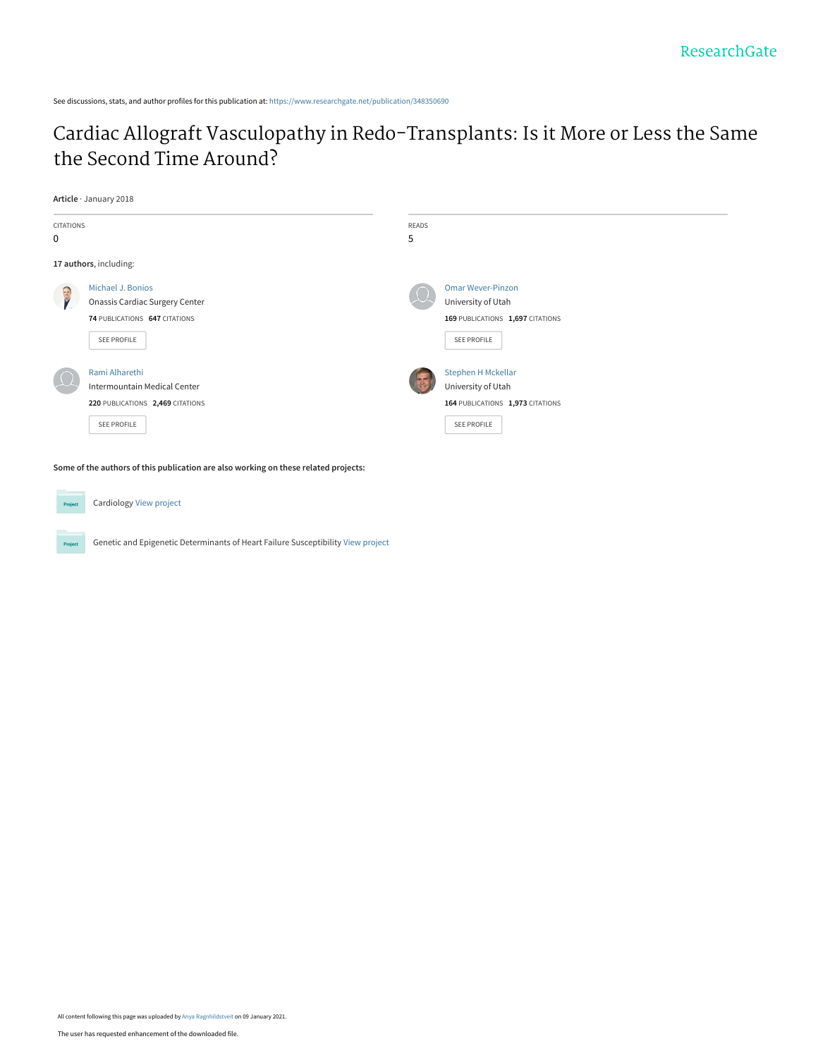See discussions, stats, and author profiles for this publication at: [https://www.researchgate.net/publication/348350690](https://www.researchgate.net/publication/348350690_Cardiac_Allograft_Vasculopathy_in_Redo-Transplants_Is_it_More_or_Less_the_Same_the_Second_Time_Around?enrichId=rgreq-3bce6c877c8b80154e8a019e8dc09fb8-XXX&enrichSource=Y292ZXJQYWdlOzM0ODM1MDY5MDtBUzo5Nzc5Njc4MDMwMTEwNzJAMTYxMDE3NzEwMjA2OA%3D%3D&el=1_x_2&_esc=publicationCoverPdf)

[Cardiac Allograft Vasculopathy in Redo-Transplants: Is it More or Less the Same](https://www.researchgate.net/publication/348350690_Cardiac_Allograft_Vasculopathy_in_Redo-Transplants_Is_it_More_or_Less_the_Same_the_Second_Time_Around?enrichId=rgreq-3bce6c877c8b80154e8a019e8dc09fb8-XXX&enrichSource=Y292ZXJQYWdlOzM0ODM1MDY5MDtBUzo5Nzc5Njc4MDMwMTEwNzJAMTYxMDE3NzEwMjA2OA%3D%3D&el=1_x_3&_esc=publicationCoverPdf) the Second Time Around?

**Article** · January 2018



**Some of the authors of this publication are also working on these related projects:**



Project

Cardiology [View project](https://www.researchgate.net/project/Cardiology-85?enrichId=rgreq-3bce6c877c8b80154e8a019e8dc09fb8-XXX&enrichSource=Y292ZXJQYWdlOzM0ODM1MDY5MDtBUzo5Nzc5Njc4MDMwMTEwNzJAMTYxMDE3NzEwMjA2OA%3D%3D&el=1_x_9&_esc=publicationCoverPdf)

Genetic and Epigenetic Determinants of Heart Failure Susceptibility [View project](https://www.researchgate.net/project/Genetic-and-Epigenetic-Determinants-of-Heart-Failure-Susceptibility?enrichId=rgreq-3bce6c877c8b80154e8a019e8dc09fb8-XXX&enrichSource=Y292ZXJQYWdlOzM0ODM1MDY5MDtBUzo5Nzc5Njc4MDMwMTEwNzJAMTYxMDE3NzEwMjA2OA%3D%3D&el=1_x_9&_esc=publicationCoverPdf)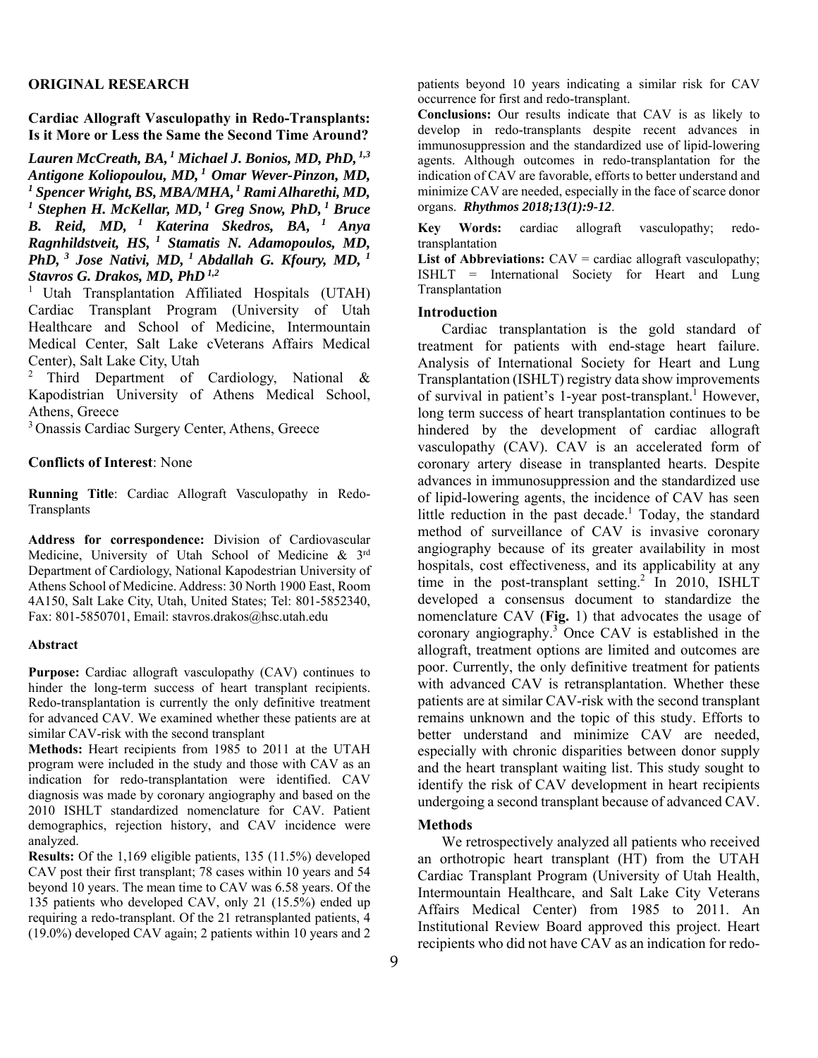### **ORIGINAL RESEARCH**

**Cardiac Allograft Vasculopathy in Redo-Transplants: Is it More or Less the Same the Second Time Around?** 

*Lauren McCreath, BA, 1 Michael J. Bonios, MD, PhD, 1,3 Antigone Koliopoulou, MD, 1 Omar Wever-Pinzon, MD, 1 Spencer Wright, BS, MBA/MHA, 1 Rami Alharethi, MD,* <sup>1</sup> Stephen H. McKellar, MD, <sup>1</sup> Greg Snow, PhD, <sup>1</sup> Bruce *B. Reid, MD, 1 Katerina Skedros, BA, 1 Anya Ragnhildstveit, HS, 1 Stamatis N. Adamopoulos, MD, PhD, 3 Jose Nativi, MD, 1 Abdallah G. Kfoury, MD, 1 Stavros G. Drakos, MD, PhD 1,2*

1 Utah Transplantation Affiliated Hospitals (UTAH) Cardiac Transplant Program (University of Utah Healthcare and School of Medicine, Intermountain Medical Center, Salt Lake cVeterans Affairs Medical Center), Salt Lake City, Utah

2 Third Department of Cardiology, National & Kapodistrian University of Athens Medical School, Athens, Greece

3 Onassis Cardiac Surgery Center, Athens, Greece

## **Conflicts of Interest**: None

**Running Title**: Cardiac Allograft Vasculopathy in Redo-**Transplants** 

**Address for correspondence:** Division of Cardiovascular Medicine, University of Utah School of Medicine & 3rd Department of Cardiology, National Kapodestrian University of Athens School of Medicine. Address: 30 North 1900 East, Room 4A150, Salt Lake City, Utah, United States; Tel: 801-5852340, Fax: 801-5850701, Email: stavros.drakos@hsc.utah.edu

#### **Abstract**

**Purpose:** Cardiac allograft vasculopathy (CAV) continues to hinder the long-term success of heart transplant recipients. Redo-transplantation is currently the only definitive treatment for advanced CAV. We examined whether these patients are at similar CAV-risk with the second transplant

**Methods:** Heart recipients from 1985 to 2011 at the UTAH program were included in the study and those with CAV as an indication for redo-transplantation were identified. CAV diagnosis was made by coronary angiography and based on the 2010 ISHLT standardized nomenclature for CAV. Patient demographics, rejection history, and CAV incidence were analyzed.

**Results:** Of the 1,169 eligible patients, 135 (11.5%) developed CAV post their first transplant; 78 cases within 10 years and 54 beyond 10 years. The mean time to CAV was 6.58 years. Of the 135 patients who developed CAV, only 21 (15.5%) ended up requiring a redo-transplant. Of the 21 retransplanted patients, 4 (19.0%) developed CAV again; 2 patients within 10 years and 2 patients beyond 10 years indicating a similar risk for CAV occurrence for first and redo-transplant.

**Conclusions:** Our results indicate that CAV is as likely to develop in redo-transplants despite recent advances in immunosuppression and the standardized use of lipid-lowering agents. Although outcomes in redo-transplantation for the indication of CAV are favorable, efforts to better understand and minimize CAV are needed, especially in the face of scarce donor organs. *Rhythmos 2018;13(1):9-12*.

**Key Words:** cardiac allograft vasculopathy; redotransplantation

**List of Abbreviations:**  $CAV = \text{cardiac}$  allograft vasculopathy; ISHLT = International Society for Heart and Lung Transplantation

# **Introduction**

Cardiac transplantation is the gold standard of treatment for patients with end-stage heart failure. Analysis of International Society for Heart and Lung Transplantation (ISHLT) registry data show improvements of survival in patient's 1-year post-transplant.<sup>1</sup> However, long term success of heart transplantation continues to be hindered by the development of cardiac allograft vasculopathy (CAV). CAV is an accelerated form of coronary artery disease in transplanted hearts. Despite advances in immunosuppression and the standardized use of lipid-lowering agents, the incidence of CAV has seen little reduction in the past decade.<sup>1</sup> Today, the standard method of surveillance of CAV is invasive coronary angiography because of its greater availability in most hospitals, cost effectiveness, and its applicability at any time in the post-transplant setting.<sup>2</sup> In 2010, ISHLT developed a consensus document to standardize the nomenclature CAV (**Fig.** 1) that advocates the usage of coronary angiography.<sup>3</sup> Once CAV is established in the allograft, treatment options are limited and outcomes are poor. Currently, the only definitive treatment for patients with advanced CAV is retransplantation. Whether these patients are at similar CAV-risk with the second transplant remains unknown and the topic of this study. Efforts to better understand and minimize CAV are needed, especially with chronic disparities between donor supply and the heart transplant waiting list. This study sought to identify the risk of CAV development in heart recipients undergoing a second transplant because of advanced CAV.

### **Methods**

We retrospectively analyzed all patients who received an orthotropic heart transplant (HT) from the UTAH Cardiac Transplant Program (University of Utah Health, Intermountain Healthcare, and Salt Lake City Veterans Affairs Medical Center) from 1985 to 2011. An Institutional Review Board approved this project. Heart recipients who did not have CAV as an indication for redo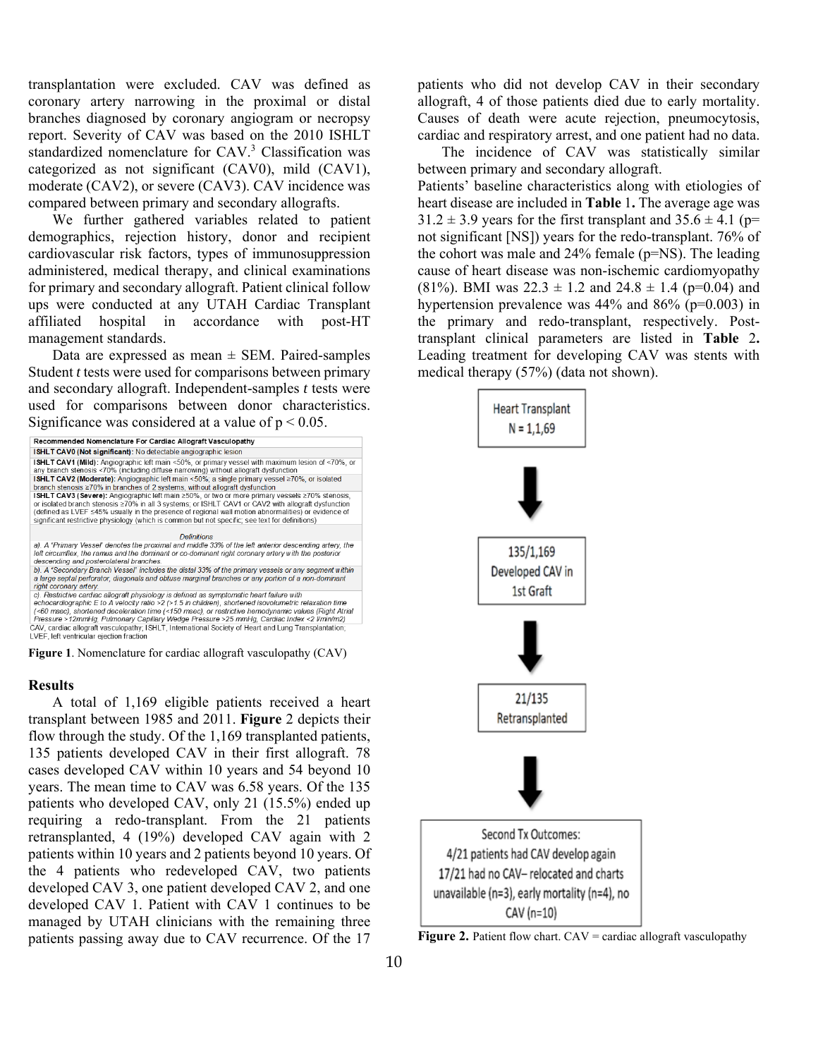transplantation were excluded. CAV was defined as coronary artery narrowing in the proximal or distal branches diagnosed by coronary angiogram or necropsy report. Severity of CAV was based on the 2010 ISHLT standardized nomenclature for CAV.<sup>3</sup> Classification was categorized as not significant (CAV0), mild (CAV1), moderate (CAV2), or severe (CAV3). CAV incidence was compared between primary and secondary allografts.

We further gathered variables related to patient demographics, rejection history, donor and recipient cardiovascular risk factors, types of immunosuppression administered, medical therapy, and clinical examinations for primary and secondary allograft. Patient clinical follow ups were conducted at any UTAH Cardiac Transplant affiliated hospital in accordance with post-HT management standards.

Data are expressed as mean  $\pm$  SEM. Paired-samples Student *t* tests were used for comparisons between primary and secondary allograft. Independent-samples *t* tests were used for comparisons between donor characteristics. Significance was considered at a value of  $p < 0.05$ .



## **Results**

A total of 1,169 eligible patients received a heart transplant between 1985 and 2011. **Figure** 2 depicts their flow through the study. Of the 1,169 transplanted patients, 135 patients developed CAV in their first allograft. 78 cases developed CAV within 10 years and 54 beyond 10 years. The mean time to CAV was 6.58 years. Of the 135 patients who developed CAV, only 21 (15.5%) ended up requiring a redo-transplant. From the 21 patients retransplanted, 4 (19%) developed CAV again with 2 patients within 10 years and 2 patients beyond 10 years. Of the 4 patients who redeveloped CAV, two patients developed CAV 3, one patient developed CAV 2, and one developed CAV 1. Patient with CAV 1 continues to be managed by UTAH clinicians with the remaining three patients passing away due to CAV recurrence. Of the 17

patients who did not develop CAV in their secondary allograft, 4 of those patients died due to early mortality. Causes of death were acute rejection, pneumocytosis, cardiac and respiratory arrest, and one patient had no data.

The incidence of CAV was statistically similar between primary and secondary allograft. Patients' baseline characteristics along with etiologies of heart disease are included in **Table** 1**.** The average age was  $31.2 \pm 3.9$  years for the first transplant and  $35.6 \pm 4.1$  (p= not significant [NS]) years for the redo-transplant. 76% of the cohort was male and 24% female (p=NS). The leading cause of heart disease was non-ischemic cardiomyopathy (81%). BMI was  $22.3 \pm 1.2$  and  $24.8 \pm 1.4$  (p=0.04) and hypertension prevalence was  $44\%$  and  $86\%$  (p=0.003) in the primary and redo-transplant, respectively. Posttransplant clinical parameters are listed in **Table** 2**.** Leading treatment for developing CAV was stents with medical therapy (57%) (data not shown).



**Figure 2.** Patient flow chart. CAV = cardiac allograft vasculopathy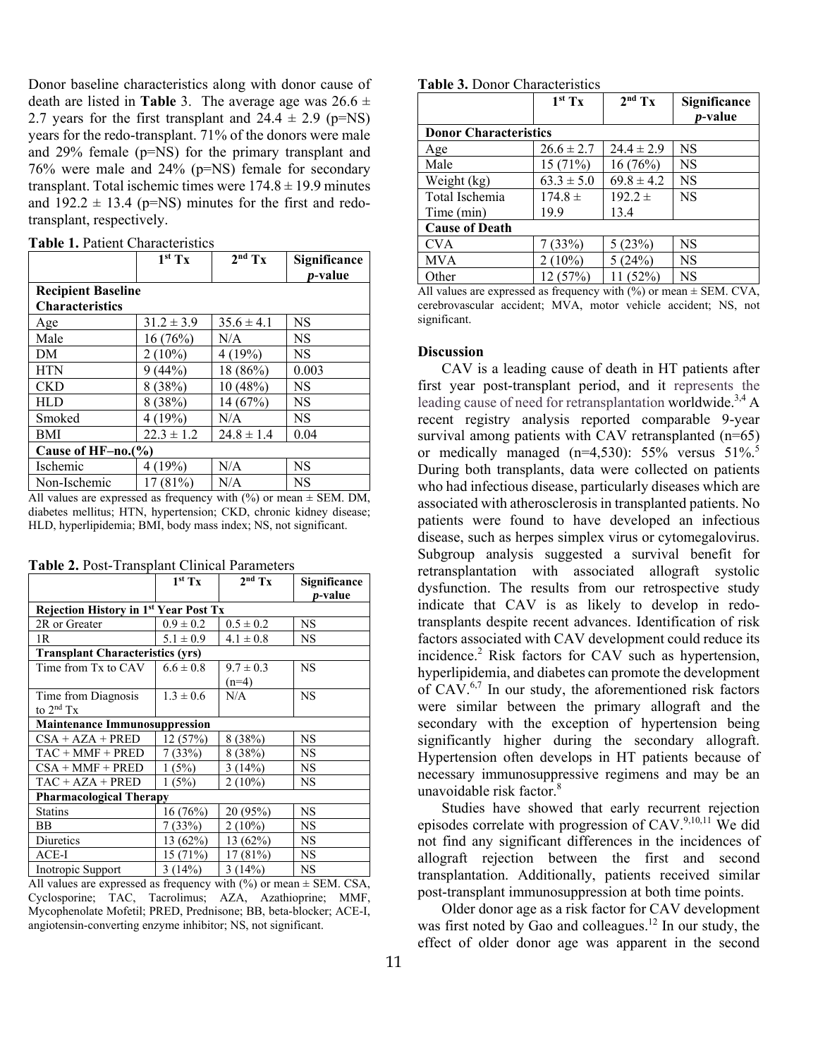Donor baseline characteristics along with donor cause of death are listed in **Table** 3. The average age was  $26.6 \pm$ 2.7 years for the first transplant and  $24.4 \pm 2.9$  (p=NS) years for the redo-transplant. 71% of the donors were male and 29% female (p=NS) for the primary transplant and 76% were male and 24% (p=NS) female for secondary transplant. Total ischemic times were  $174.8 \pm 19.9$  minutes and  $192.2 \pm 13.4$  (p=NS) minutes for the first and redotransplant, respectively.

| <b>Table 1. Patient Characteristics</b> |
|-----------------------------------------|
|-----------------------------------------|

|                                                     | $1^{st}$ Tx    | $2nd$ Tx       | Significance<br><i>p</i> -value |  |  |
|-----------------------------------------------------|----------------|----------------|---------------------------------|--|--|
| <b>Recipient Baseline</b><br><b>Characteristics</b> |                |                |                                 |  |  |
| Age                                                 | $31.2 \pm 3.9$ | $35.6 \pm 4.1$ | NS                              |  |  |
| Male                                                | 16(76%)        | N/A            | NS                              |  |  |
| DM                                                  | $2(10\%)$      | 4(19%)         | NS                              |  |  |
| <b>HTN</b>                                          | (44%)<br>9     | 18 (86%)       | 0.003                           |  |  |
| <b>CKD</b>                                          | 8(38%)         | 10 (48%)       | NS                              |  |  |
| <b>HLD</b>                                          | 8(38%)         | 14 (67%)       | NS                              |  |  |
| Smoked                                              | 4(19%)         | N/A            | NS                              |  |  |
| BMI                                                 | $22.3 \pm 1.2$ | $24.8 \pm 1.4$ | 0.04                            |  |  |
| Cause of HF-no.(%)                                  |                |                |                                 |  |  |
| Ischemic                                            | 4 (19%)        | N/A            | NS                              |  |  |
| Non-Ischemic                                        | 17(81%)        | N/A            | NS                              |  |  |

All values are expressed as frequency with  $(\%)$  or mean  $\pm$  SEM. DM, diabetes mellitus; HTN, hypertension; CKD, chronic kidney disease; HLD, hyperlipidemia; BMI, body mass index; NS, not significant.

**Table 2.** Post-Transplant Clinical Parameters

|                                              | $1st$ Tx      | $2nd$ Tx      | Significance<br><i>p</i> -value |  |  |
|----------------------------------------------|---------------|---------------|---------------------------------|--|--|
| <b>Rejection History in 1st Year Post Tx</b> |               |               |                                 |  |  |
| 2R or Greater                                | $0.9 \pm 0.2$ | $0.5 \pm 0.2$ | <b>NS</b>                       |  |  |
| 1R                                           | $5.1 \pm 0.9$ | $4.1 \pm 0.8$ | <b>NS</b>                       |  |  |
| <b>Transplant Characteristics (yrs)</b>      |               |               |                                 |  |  |
| Time from Tx to CAV                          | $6.6 \pm 0.8$ | $9.7 \pm 0.3$ | <b>NS</b>                       |  |  |
|                                              |               | $(n=4)$       |                                 |  |  |
| Time from Diagnosis                          | $1.3 \pm 0.6$ | N/A           | <b>NS</b>                       |  |  |
| to $2nd Tx$                                  |               |               |                                 |  |  |
| <b>Maintenance Immunosuppression</b>         |               |               |                                 |  |  |
| $CSA + AZA + PRED$                           | 12(57%)       | 8(38%)        | NS                              |  |  |
| $TAC + MMF + PRED$                           | 7(33%)        | 8(38%)        | <b>NS</b>                       |  |  |
| $CSA + MMF + PRED$                           | 1(5%)         | 3(14%)        | <b>NS</b>                       |  |  |
| $TAC + AZA + PRED$                           | 1(5%)         | $2(10\%)$     | <b>NS</b>                       |  |  |
| <b>Pharmacological Therapy</b>               |               |               |                                 |  |  |
| <b>Statins</b>                               | 16 (76%)      | 20 (95%)      | NS                              |  |  |
| <b>BB</b>                                    | 7(33%)        | $2(10\%)$     | <b>NS</b>                       |  |  |
| Diuretics                                    | 13 (62%)      | 13 (62%)      | <b>NS</b>                       |  |  |
| $ACE-I$                                      | 15(71%)       | 17(81%)       | <b>NS</b>                       |  |  |
| Inotropic Support                            | 3(14%)        | 3(14%)        | <b>NS</b>                       |  |  |

All values are expressed as frequency with  $(\%)$  or mean  $\pm$  SEM. CSA, Cyclosporine; TAC, Tacrolimus; AZA, Azathioprine; MMF, Mycophenolate Mofetil; PRED, Prednisone; BB, beta-blocker; ACE-I, angiotensin-converting enzyme inhibitor; NS, not significant.

#### **Table 3.** Donor Characteristics

|                              | 1 <sup>st</sup> Tx | $2nd$ Tx       | Significance    |  |  |
|------------------------------|--------------------|----------------|-----------------|--|--|
|                              |                    |                | <i>p</i> -value |  |  |
| <b>Donor Characteristics</b> |                    |                |                 |  |  |
| Age                          | $26.6 \pm 2.7$     | $24.4 \pm 2.9$ | <b>NS</b>       |  |  |
| Male                         | 15(71%)            | 16(76%)        | <b>NS</b>       |  |  |
| Weight (kg)                  | $63.3 \pm 5.0$     | $69.8 \pm 4.2$ | <b>NS</b>       |  |  |
| Total Ischemia               | $174.8 \pm$        | $192.2 \pm$    | <b>NS</b>       |  |  |
| Time (min)                   | 19.9               | 13.4           |                 |  |  |
| <b>Cause of Death</b>        |                    |                |                 |  |  |
| <b>CVA</b>                   | 7(33%)             | 5(23%)         | <b>NS</b>       |  |  |
| <b>MVA</b>                   | $2(10\%)$          | 5(24%)         | <b>NS</b>       |  |  |
| Other                        | 12 (57%)           | 11(52%)        | <b>NS</b>       |  |  |

All values are expressed as frequency with  $\frac{6}{6}$  or mean  $\pm$  SEM. CVA, cerebrovascular accident; MVA, motor vehicle accident; NS, not significant.

# **Discussion**

CAV is a leading cause of death in HT patients after first year post-transplant period, and it represents the leading cause of need for retransplantation worldwide.<sup>3,4</sup> A recent registry analysis reported comparable 9-year survival among patients with CAV retransplanted (n=65) or medically managed (n=4,530): 55% versus 51%.<sup>5</sup> During both transplants, data were collected on patients who had infectious disease, particularly diseases which are associated with atherosclerosis in transplanted patients. No patients were found to have developed an infectious disease, such as herpes simplex virus or cytomegalovirus. Subgroup analysis suggested a survival benefit for retransplantation with associated allograft systolic dysfunction. The results from our retrospective study indicate that CAV is as likely to develop in redotransplants despite recent advances. Identification of risk factors associated with CAV development could reduce its incidence.<sup>2</sup> Risk factors for CAV such as hypertension, hyperlipidemia, and diabetes can promote the development of CAV.6,7 In our study, the aforementioned risk factors were similar between the primary allograft and the secondary with the exception of hypertension being significantly higher during the secondary allograft. Hypertension often develops in HT patients because of necessary immunosuppressive regimens and may be an unavoidable risk factor. $8$ 

Studies have showed that early recurrent rejection episodes correlate with progression of CAV.<sup>9,10,11</sup> We did not find any significant differences in the incidences of allograft rejection between the first and second transplantation. Additionally, patients received similar post-transplant immunosuppression at both time points.

Older donor age as a risk factor for CAV development was first noted by Gao and colleagues.<sup>12</sup> In our study, the effect of older donor age was apparent in the second